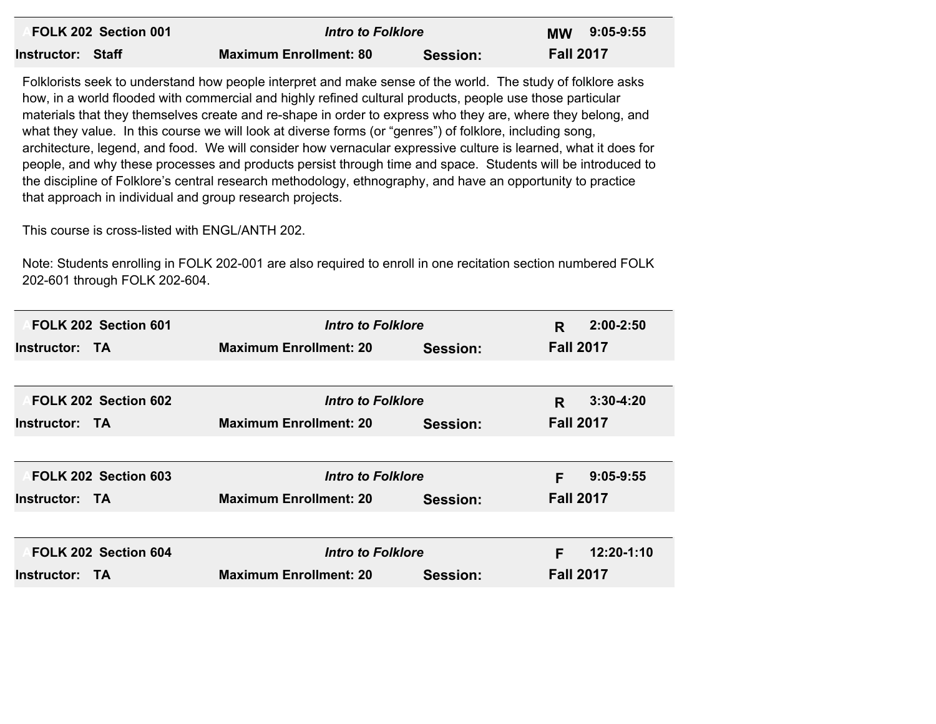| FOLK 202 Section 001     |                               | $9:05-9:55$     |                  |
|--------------------------|-------------------------------|-----------------|------------------|
| Intro to Folklore        |                               | <b>MW</b>       |                  |
| <b>Instructor: Staff</b> | <b>Maximum Enrollment: 80</b> | <b>Session:</b> | <b>Fall 2017</b> |

Folklorists seek to understand how people interpret and make sense of the world. The study of folklore asks how, in a world flooded with commercial and highly refined cultural products, people use those particular materials that they themselves create and re-shape in order to express who they are, where they belong, and what they value. In this course we will look at diverse forms (or "genres") of folklore, including song, architecture, legend, and food. We will consider how vernacular expressive culture is learned, what it does for people, and why these processes and products persist through time and space. Students will be introduced to the discipline of Folklore's central research methodology, ethnography, and have an opportunity to practice that approach in individual and group research projects.

This course is cross-listed with ENGL/ANTH 202.

Note: Students enrolling in FOLK 202-001 are also required to enroll in one recitation section numbered FOLK 202-601 through FOLK 202-604.

| FOLK 202 Section 601  | Intro to Folklore             |          | R.               | $2:00 - 2:50$ |
|-----------------------|-------------------------------|----------|------------------|---------------|
| Instructor: TA        | <b>Maximum Enrollment: 20</b> | Session: | <b>Fall 2017</b> |               |
|                       |                               |          |                  |               |
| FOLK 202 Section 602  | Intro to Folklore             |          | R                | $3:30-4:20$   |
| Instructor: TA        | <b>Maximum Enrollment: 20</b> | Session: | <b>Fall 2017</b> |               |
|                       |                               |          |                  |               |
| FOLK 202 Section 603  | Intro to Folklore             |          | F                | $9:05-9:55$   |
| <b>Instructor: TA</b> | <b>Maximum Enrollment: 20</b> | Session: | <b>Fall 2017</b> |               |
|                       |                               |          |                  |               |
| FOLK 202 Section 604  | Intro to Folklore             |          | F                | 12:20-1:10    |
| Instructor: TA        | <b>Maximum Enrollment: 20</b> | Session: | <b>Fall 2017</b> |               |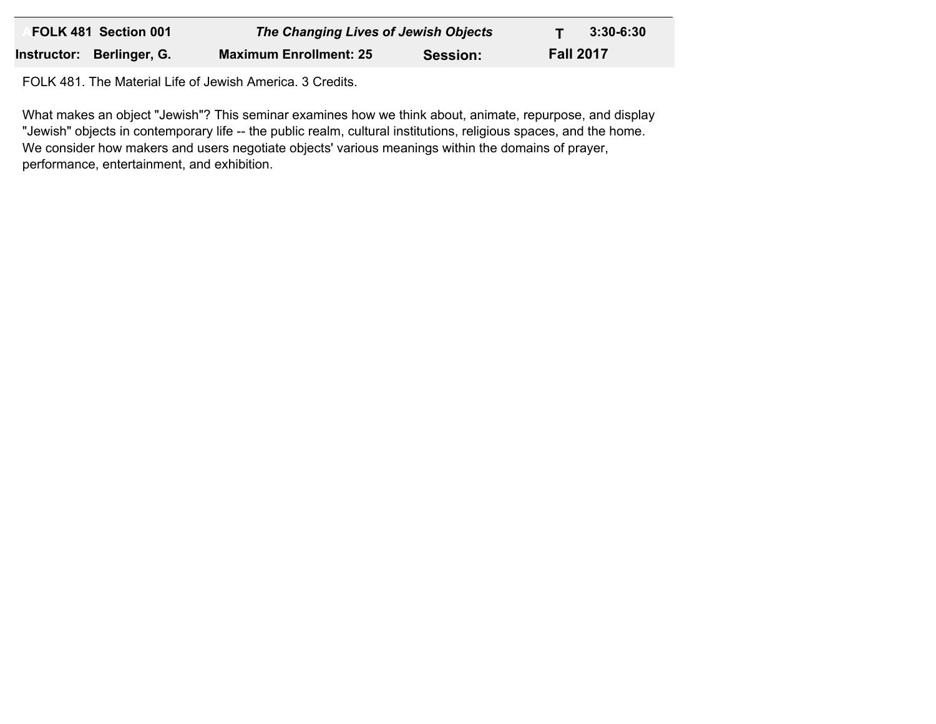| FOLK 481 Section 001      | The Changing Lives of Jewish Objects | $3:30-6:30$                  |  |
|---------------------------|--------------------------------------|------------------------------|--|
| Instructor: Berlinger, G. | <b>Maximum Enrollment: 25</b>        | <b>Fall 2017</b><br>Session: |  |

FOLK 481. The Material Life of Jewish America. 3 Credits.

What makes an object "Jewish"? This seminar examines how we think about, animate, repurpose, and display "Jewish" objects in contemporary life -- the public realm, cultural institutions, religious spaces, and the home. We consider how makers and users negotiate objects' various meanings within the domains of prayer, performance, entertainment, and exhibition.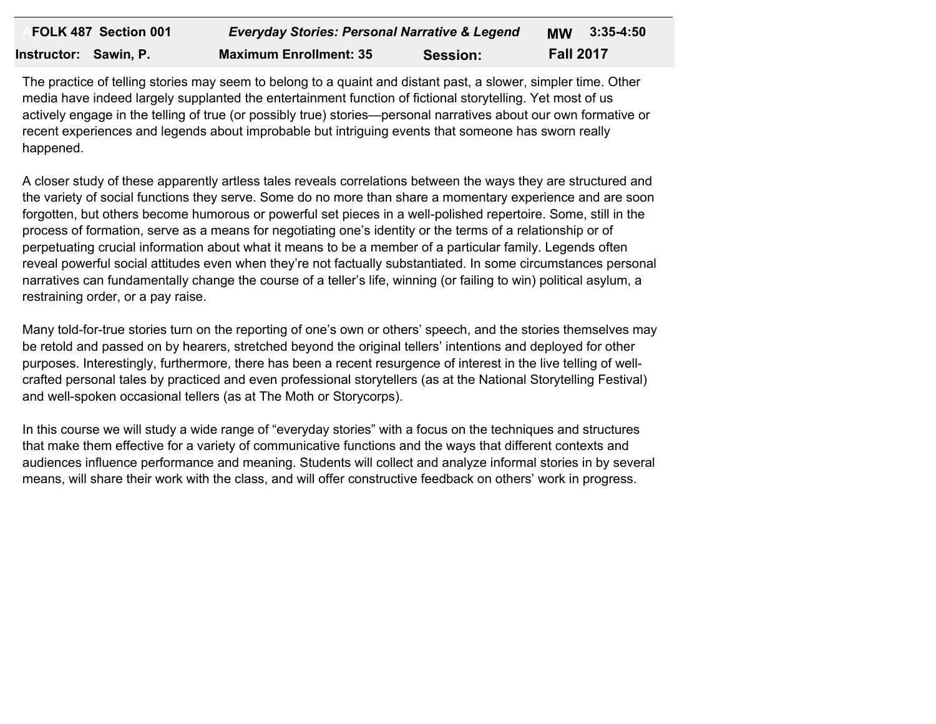| FOLK 487 Section 001  | <b>Everyday Stories: Personal Narrative &amp; Legend</b> |          | 3:35-4:50<br><b>MW</b> |
|-----------------------|----------------------------------------------------------|----------|------------------------|
| Instructor: Sawin, P. | <b>Maximum Enrollment: 35</b>                            | Session: | <b>Fall 2017</b>       |

The practice of telling stories may seem to belong to a quaint and distant past, a slower, simpler time. Other media have indeed largely supplanted the entertainment function of fictional storytelling. Yet most of us actively engage in the telling of true (or possibly true) stories—personal narratives about our own formative or recent experiences and legends about improbable but intriguing events that someone has sworn really happened.

A closer study of these apparently artless tales reveals correlations between the ways they are structured and the variety of social functions they serve. Some do no more than share a momentary experience and are soon forgotten, but others become humorous or powerful set pieces in a well-polished repertoire. Some, still in the process of formation, serve as a means for negotiating one's identity or the terms of a relationship or of perpetuating crucial information about what it means to be a member of a particular family. Legends often reveal powerful social attitudes even when they're not factually substantiated. In some circumstances personal narratives can fundamentally change the course of a teller's life, winning (or failing to win) political asylum, a restraining order, or a pay raise.

Many told-for-true stories turn on the reporting of one's own or others' speech, and the stories themselves may be retold and passed on by hearers, stretched beyond the original tellers' intentions and deployed for other purposes. Interestingly, furthermore, there has been a recent resurgence of interest in the live telling of wellcrafted personal tales by practiced and even professional storytellers (as at the National Storytelling Festival) and well-spoken occasional tellers (as at The Moth or Storycorps).

In this course we will study a wide range of "everyday stories" with a focus on the techniques and structures that make them effective for a variety of communicative functions and the ways that different contexts and audiences influence performance and meaning. Students will collect and analyze informal stories in by several means, will share their work with the class, and will offer constructive feedback on others' work in progress.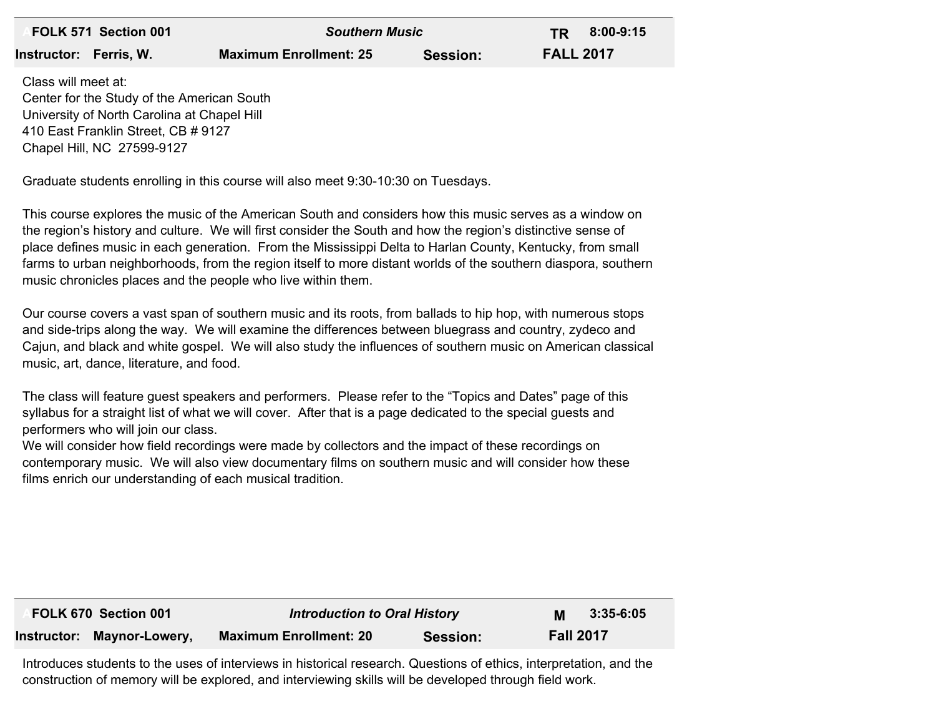| FOLK 571 Section 001   |                                            | <b>Southern Music</b>         |          | 8:00-9:15<br>TR. |
|------------------------|--------------------------------------------|-------------------------------|----------|------------------|
| Instructor: Ferris, W. |                                            | <b>Maximum Enrollment: 25</b> | Session: | <b>FALL 2017</b> |
| Class will meet at:    | Center for the Study of the American South |                               |          |                  |

Center for the Study of the American South University of North Carolina at Chapel Hill 410 East Franklin Street, CB # 9127 Chapel Hill, NC 27599-9127

Graduate students enrolling in this course will also meet 9:30-10:30 on Tuesdays.

This course explores the music of the American South and considers how this music serves as a window on the region's history and culture. We will first consider the South and how the region's distinctive sense of place defines music in each generation. From the Mississippi Delta to Harlan County, Kentucky, from small farms to urban neighborhoods, from the region itself to more distant worlds of the southern diaspora, southern music chronicles places and the people who live within them.

Our course covers a vast span of southern music and its roots, from ballads to hip hop, with numerous stops and side-trips along the way. We will examine the differences between bluegrass and country, zydeco and Cajun, and black and white gospel. We will also study the influences of southern music on American classical music, art, dance, literature, and food.

The class will feature guest speakers and performers. Please refer to the "Topics and Dates" page of this syllabus for a straight list of what we will cover. After that is a page dedicated to the special guests and performers who will join our class.

We will consider how field recordings were made by collectors and the impact of these recordings on contemporary music. We will also view documentary films on southern music and will consider how these films enrich our understanding of each musical tradition.

| FOLK 670 Section 001       | Introduction to Oral History  |                 | $3:35-6:05$<br>M |
|----------------------------|-------------------------------|-----------------|------------------|
| Instructor: Maynor-Lowery, | <b>Maximum Enrollment: 20</b> | <b>Session:</b> | <b>Fall 2017</b> |

**M.** Introduces students to the uses of interviews in historical research. Questions of ethics, interpretation, and the construction of memory will be explored, and interviewing skills will be developed through field work.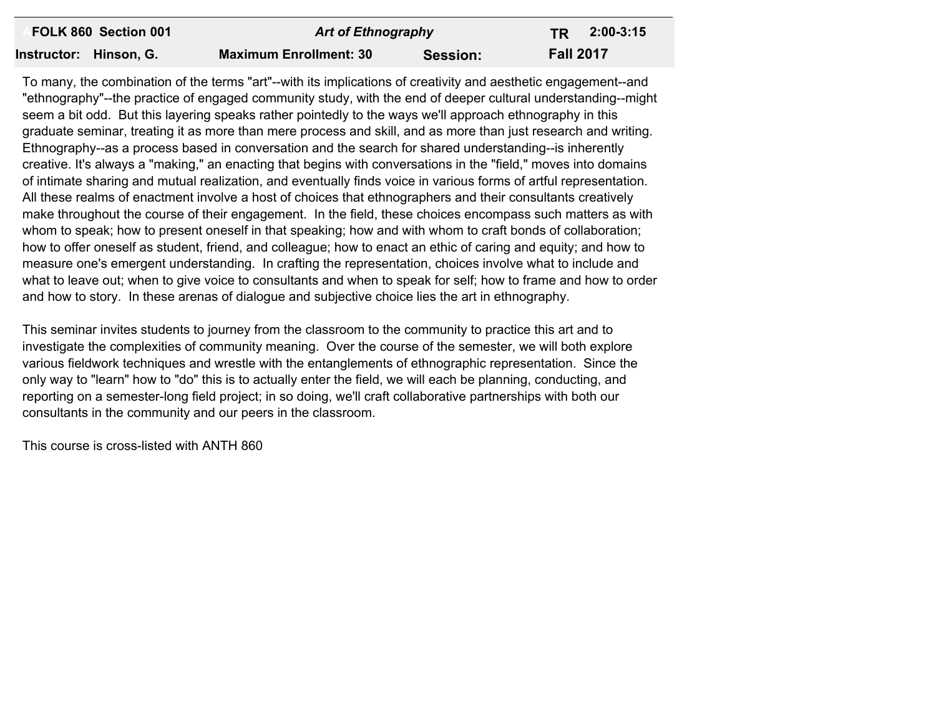| FOLK 860 Section 001   | <b>Art of Ethnography</b>     |                 | 2:00-3:15<br>TR. |
|------------------------|-------------------------------|-----------------|------------------|
| Instructor: Hinson, G. | <b>Maximum Enrollment: 30</b> | <b>Session:</b> | <b>Fall 2017</b> |

To many, the combination of the terms "art"--with its implications of creativity and aesthetic engagement--and "ethnography"--the practice of engaged community study, with the end of deeper cultural understanding--might seem a bit odd. But this layering speaks rather pointedly to the ways we'll approach ethnography in this graduate seminar, treating it as more than mere process and skill, and as more than just research and writing. Ethnography--as a process based in conversation and the search for shared understanding--is inherently creative. It's always a "making," an enacting that begins with conversations in the "field," moves into domains of intimate sharing and mutual realization, and eventually finds voice in various forms of artful representation. All these realms of enactment involve a host of choices that ethnographers and their consultants creatively make throughout the course of their engagement. In the field, these choices encompass such matters as with whom to speak; how to present oneself in that speaking; how and with whom to craft bonds of collaboration; how to offer oneself as student, friend, and colleague; how to enact an ethic of caring and equity; and how to measure one's emergent understanding. In crafting the representation, choices involve what to include and what to leave out; when to give voice to consultants and when to speak for self; how to frame and how to order and how to story. In these arenas of dialogue and subjective choice lies the art in ethnography.

This seminar invites students to journey from the classroom to the community to practice this art and to investigate the complexities of community meaning. Over the course of the semester, we will both explore various fieldwork techniques and wrestle with the entanglements of ethnographic representation. Since the only way to "learn" how to "do" this is to actually enter the field, we will each be planning, conducting, and reporting on a semester-long field project; in so doing, we'll craft collaborative partnerships with both our consultants in the community and our peers in the classroom.

This course is cross-listed with ANTH 860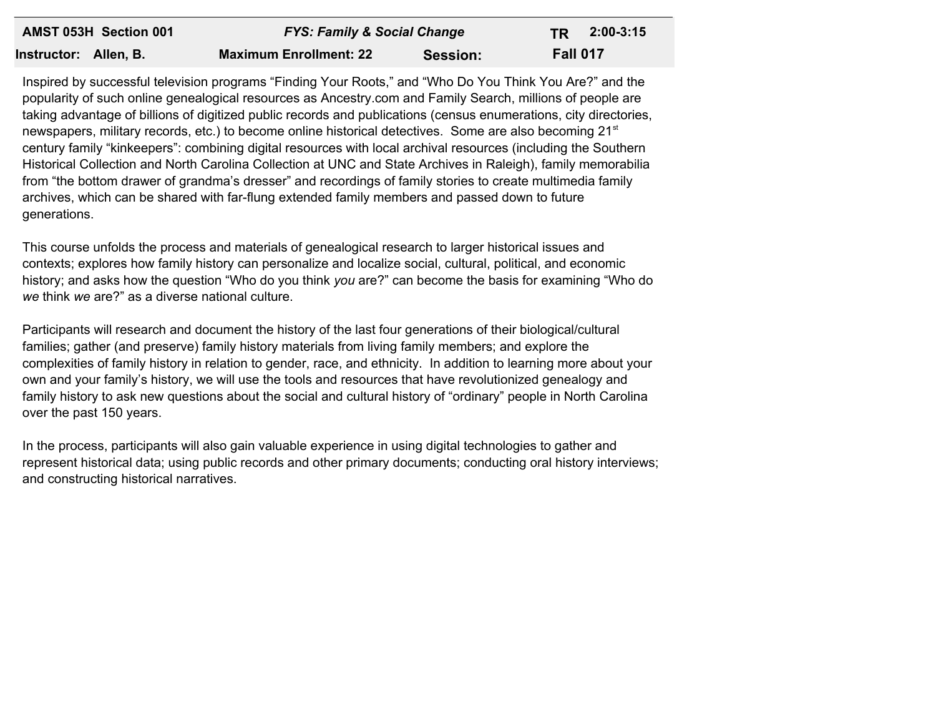| AMST 053H Section 001                  |                               | $2:00-3:15$ |                 |
|----------------------------------------|-------------------------------|-------------|-----------------|
| <b>FYS: Family &amp; Social Change</b> |                               | TR.         |                 |
| Instructor: Allen, B.                  | <b>Maximum Enrollment: 22</b> | Session:    | <b>Fall 017</b> |

Inspired by successful television programs "Finding Your Roots," and "Who Do You Think You Are?" and the popularity of such online genealogical resources as Ancestry.com and Family Search, millions of people are taking advantage of billions of digitized public records and publications (census enumerations, city directories, newspapers, military records, etc.) to become online historical detectives. Some are also becoming 21<sup>st</sup> century family "kinkeepers": combining digital resources with local archival resources (including the Southern Historical Collection and North Carolina Collection at UNC and State Archives in Raleigh), family memorabilia from "the bottom drawer of grandma's dresser" and recordings of family stories to create multimedia family archives, which can be shared with far-flung extended family members and passed down to future generations.

This course unfolds the process and materials of genealogical research to larger historical issues and contexts; explores how family history can personalize and localize social, cultural, political, and economic history; and asks how the question "Who do you think *you* are?" can become the basis for examining "Who do *we* think *we* are?" as a diverse national culture.

Participants will research and document the history of the last four generations of their biological/cultural families; gather (and preserve) family history materials from living family members; and explore the complexities of family history in relation to gender, race, and ethnicity. In addition to learning more about your own and your family's history, we will use the tools and resources that have revolutionized genealogy and family history to ask new questions about the social and cultural history of "ordinary" people in North Carolina over the past 150 years.

In the process, participants will also gain valuable experience in using digital technologies to gather and represent historical data; using public records and other primary documents; conducting oral history interviews; and constructing historical narratives.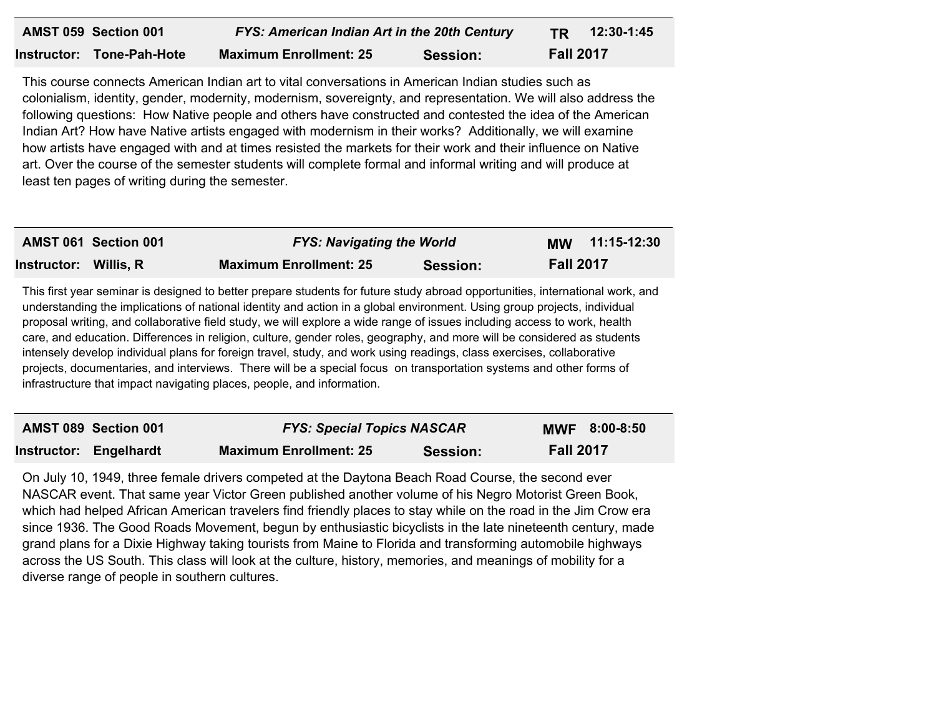| AMST 059 Section 001      | <b>FYS: American Indian Art in the 20th Century</b> |                 | TR.              | 12:30-1:45 |
|---------------------------|-----------------------------------------------------|-----------------|------------------|------------|
| Instructor: Tone-Pah-Hote | <b>Maximum Enrollment: 25</b>                       | <b>Session:</b> | <b>Fall 2017</b> |            |

This course connects American Indian art to vital conversations in American Indian studies such as colonialism, identity, gender, modernity, modernism, sovereignty, and representation. We will also address the following questions: How Native people and others have constructed and contested the idea of the American Indian Art? How have Native artists engaged with modernism in their works? Additionally, we will examine how artists have engaged with and at times resisted the markets for their work and their influence on Native art. Over the course of the semester students will complete formal and informal writing and will produce at least ten pages of writing during the semester.

|                       | AMST 061 Section 001 | <b>FYS: Navigating the World</b> |          |                  | MW 11:15-12:30 |
|-----------------------|----------------------|----------------------------------|----------|------------------|----------------|
| Instructor: Willis, R |                      | <b>Maximum Enrollment: 25</b>    | Session: | <b>Fall 2017</b> |                |

This first year seminar is designed to better prepare students for future study abroad opportunities, international work, and understanding the implications of national identity and action in a global environment. Using group projects, individual proposal writing, and collaborative field study, we will explore a wide range of issues including access to work, health care, and education. Differences in religion, culture, gender roles, geography, and more will be considered as students intensely develop individual plans for foreign travel, study, and work using readings, class exercises, collaborative projects, documentaries, and interviews. There will be a special focus on transportation systems and other forms of infrastructure that impact navigating places, people, and information.

| AMST 089 Section 001   | <b>FYS: Special Topics NASCAR</b> |          | <b>MWF 8:00-8:50</b> |
|------------------------|-----------------------------------|----------|----------------------|
| Instructor: Engelhardt | <b>Maximum Enrollment: 25</b>     | Session: | <b>Fall 2017</b>     |

On July 10, 1949, three female drivers competed at the Daytona Beach Road Course, the second ever NASCAR event. That same year Victor Green published another volume of his Negro Motorist Green Book, which had helped African American travelers find friendly places to stay while on the road in the Jim Crow era since 1936. The Good Roads Movement, begun by enthusiastic bicyclists in the late nineteenth century, made grand plans for a Dixie Highway taking tourists from Maine to Florida and transforming automobile highways across the US South. This class will look at the culture, history, memories, and meanings of mobility for a diverse range of people in southern cultures.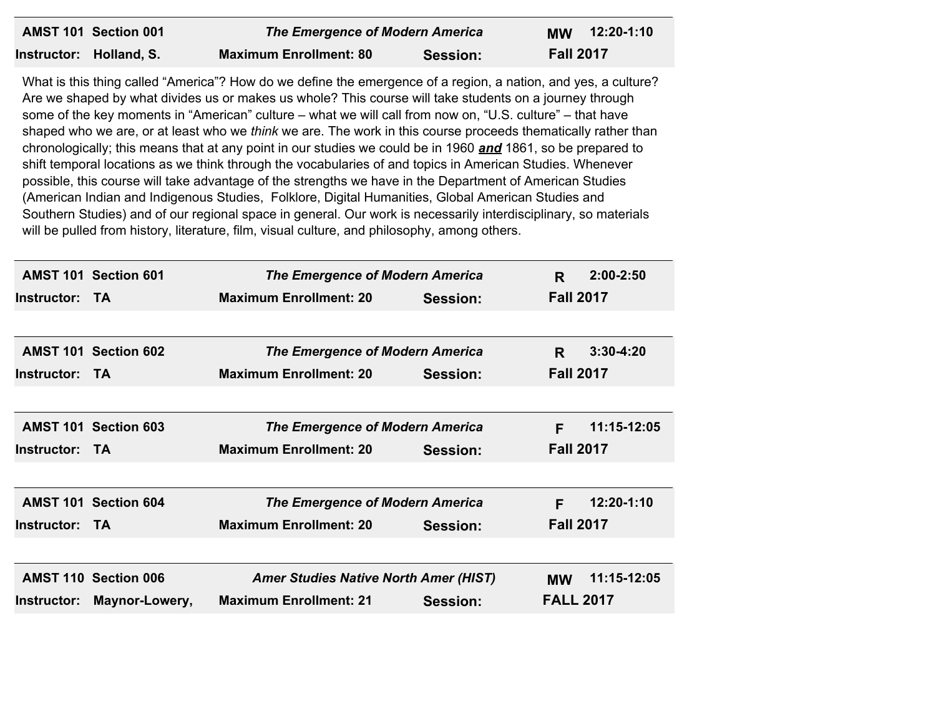| AMST 101 Section 001    | The Emergence of Modern America |          |                  | MW 12:20-1:10 |
|-------------------------|---------------------------------|----------|------------------|---------------|
| Instructor: Holland, S. | <b>Maximum Enrollment: 80</b>   | Session: | <b>Fall 2017</b> |               |

What is this thing called "America"? How do we define the emergence of a region, a nation, and yes, a culture? Are we shaped by what divides us or makes us whole? This course will take students on a journey through some of the key moments in "American" culture – what we will call from now on, "U.S. culture" – that have shaped who we are, or at least who we *think* we are. The work in this course proceeds thematically rather than chronologically; this means that at any point in our studies we could be in 1960 *and* 1861, so be prepared to shift temporal locations as we think through the vocabularies of and topics in American Studies. Whenever possible, this course will take advantage of the strengths we have in the Department of American Studies (American Indian and Indigenous Studies, Folklore, Digital Humanities, Global American Studies and Southern Studies) and of our regional space in general. Our work is necessarily interdisciplinary, so materials will be pulled from history, literature, film, visual culture, and philosophy, among others.

| <b>Instructor: TA</b> | <b>AMST 101 Section 601</b>                   | <b>The Emergence of Modern America</b><br><b>Maximum Enrollment: 20</b>       | Session: | R<br><b>Fall 2017</b>         | $2:00 - 2:50$ |
|-----------------------|-----------------------------------------------|-------------------------------------------------------------------------------|----------|-------------------------------|---------------|
| <b>Instructor: TA</b> | <b>AMST 101 Section 602</b>                   | <b>The Emergence of Modern America</b><br><b>Maximum Enrollment: 20</b>       | Session: | R.<br><b>Fall 2017</b>        | $3:30 - 4:20$ |
| Instructor: TA        | <b>AMST 101 Section 603</b>                   | <b>The Emergence of Modern America</b><br><b>Maximum Enrollment: 20</b>       | Session: | F<br><b>Fall 2017</b>         | 11:15-12:05   |
| <b>Instructor: TA</b> | <b>AMST 101 Section 604</b>                   | <b>The Emergence of Modern America</b><br><b>Maximum Enrollment: 20</b>       | Session: | F<br><b>Fall 2017</b>         | 12:20-1:10    |
| Instructor:           | <b>AMST 110 Section 006</b><br>Maynor-Lowery, | <b>Amer Studies Native North Amer (HIST)</b><br><b>Maximum Enrollment: 21</b> | Session: | <b>MW</b><br><b>FALL 2017</b> | 11:15-12:05   |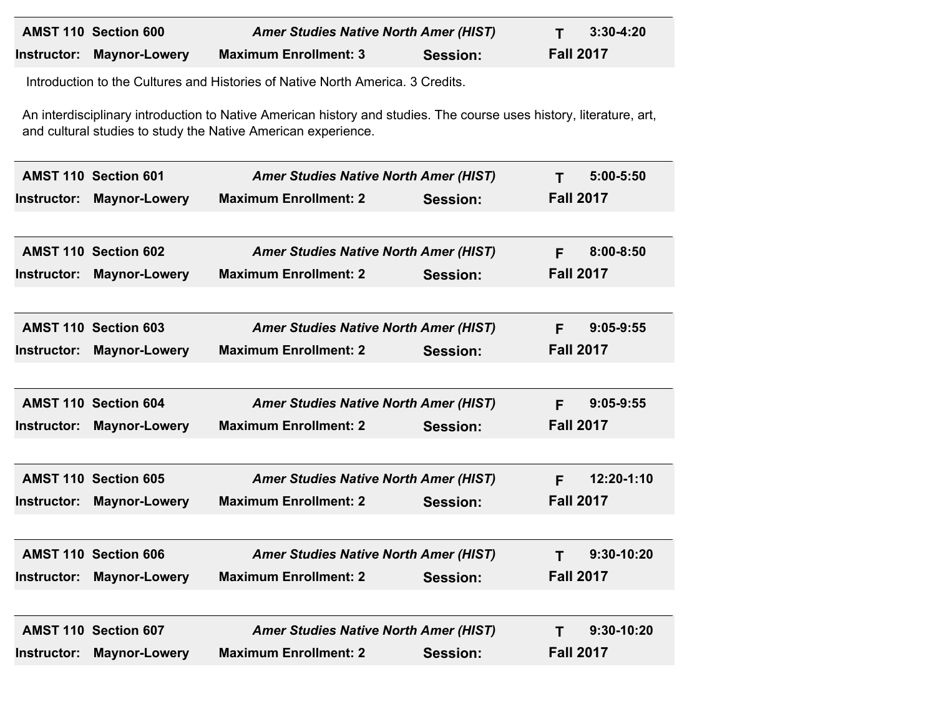| AMST 110 Section 600      | <b>Amer Studies Native North Amer (HIST)</b> |          |                  | $3:30-4:20$ |
|---------------------------|----------------------------------------------|----------|------------------|-------------|
| Instructor: Maynor-Lowery | <b>Maximum Enrollment: 3</b>                 | Session: | <b>Fall 2017</b> |             |

Introduction to the Cultures and Histories of Native North America. 3 Credits.

An interdisciplinary introduction to Native American history and studies. The course uses history, literature, art, and cultural studies to study the Native American experience.

| Instructor: | AMST 110 Section 601<br><b>Maynor-Lowery</b> | <b>Amer Studies Native North Amer (HIST)</b><br><b>Maximum Enrollment: 2</b> | Session:        | Т<br><b>Fall 2017</b> | $5:00 - 5:50$ |
|-------------|----------------------------------------------|------------------------------------------------------------------------------|-----------------|-----------------------|---------------|
|             |                                              |                                                                              |                 |                       |               |
|             | AMST 110 Section 602                         | <b>Amer Studies Native North Amer (HIST)</b>                                 |                 | F                     | $8:00 - 8:50$ |
| Instructor: | <b>Maynor-Lowery</b>                         | <b>Maximum Enrollment: 2</b>                                                 | <b>Session:</b> | <b>Fall 2017</b>      |               |
|             |                                              |                                                                              |                 |                       |               |
|             | AMST 110 Section 603                         | <b>Amer Studies Native North Amer (HIST)</b>                                 |                 | F.                    | $9:05-9:55$   |
| Instructor: | <b>Maynor-Lowery</b>                         | <b>Maximum Enrollment: 2</b>                                                 | Session:        | <b>Fall 2017</b>      |               |
|             |                                              |                                                                              |                 |                       |               |
|             | AMST 110 Section 604                         | <b>Amer Studies Native North Amer (HIST)</b>                                 |                 | F                     | $9:05-9:55$   |
| Instructor: | <b>Maynor-Lowery</b>                         | <b>Maximum Enrollment: 2</b>                                                 | <b>Session:</b> | <b>Fall 2017</b>      |               |
|             |                                              |                                                                              |                 |                       |               |
|             | AMST 110 Section 605                         | <b>Amer Studies Native North Amer (HIST)</b>                                 |                 | F                     | 12:20-1:10    |
| Instructor: | <b>Maynor-Lowery</b>                         | <b>Maximum Enrollment: 2</b>                                                 | Session:        | <b>Fall 2017</b>      |               |
|             |                                              |                                                                              |                 |                       |               |
|             | AMST 110 Section 606                         | <b>Amer Studies Native North Amer (HIST)</b>                                 |                 | т                     | 9:30-10:20    |
| Instructor: | <b>Maynor-Lowery</b>                         | <b>Maximum Enrollment: 2</b>                                                 | Session:        | <b>Fall 2017</b>      |               |
|             |                                              |                                                                              |                 |                       |               |
|             | AMST 110 Section 607                         | <b>Amer Studies Native North Amer (HIST)</b>                                 |                 | т                     | 9:30-10:20    |
| Instructor: | <b>Maynor-Lowery</b>                         | <b>Maximum Enrollment: 2</b>                                                 | Session:        | <b>Fall 2017</b>      |               |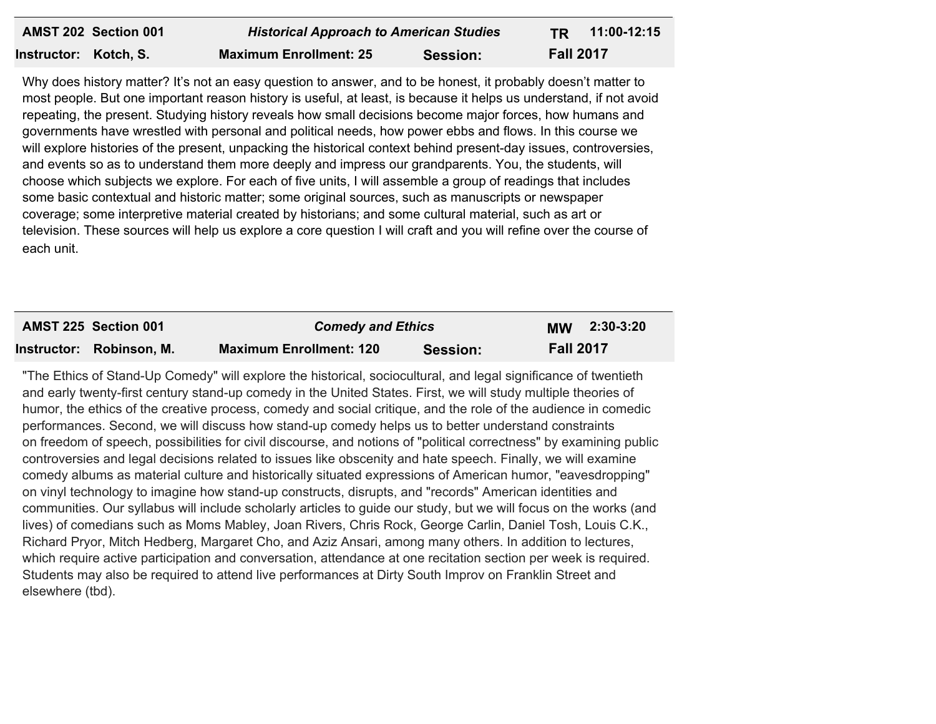|                       | AMST 202 Section 001 | <b>Historical Approach to American Studies</b> |          | TR.              | 11:00-12:15 |
|-----------------------|----------------------|------------------------------------------------|----------|------------------|-------------|
| Instructor: Kotch, S. |                      | <b>Maximum Enrollment: 25</b>                  | Session: | <b>Fall 2017</b> |             |

Why does history matter? It's not an easy question to answer, and to be honest, it probably doesn't matter to most people. But one important reason history is useful, at least, is because it helps us understand, if not avoid repeating, the present. Studying history reveals how small decisions become major forces, how humans and governments have wrestled with personal and political needs, how power ebbs and flows. In this course we will explore histories of the present, unpacking the historical context behind present-day issues, controversies, and events so as to understand them more deeply and impress our grandparents. You, the students, will choose which subjects we explore. For each of five units, I will assemble a group of readings that includes some basic contextual and historic matter; some original sources, such as manuscripts or newspaper coverage; some interpretive material created by historians; and some cultural material, such as art or television. These sources will help us explore a core question I will craft and you will refine over the course of each unit.

| AMST 225 Section 001     | <b>Comedy and Ethics</b>       |                 | <b>MW</b>        | 2:30-3:20 |
|--------------------------|--------------------------------|-----------------|------------------|-----------|
| Instructor: Robinson, M. | <b>Maximum Enrollment: 120</b> | <b>Session:</b> | <b>Fall 2017</b> |           |

"The Ethics of Stand-Up Comedy" will explore the historical, sociocultural, and legal significance of twentieth and early twenty-first century stand-up comedy in the United States. First, we will study multiple theories of humor, the ethics of the creative process, comedy and social critique, and the role of the audience in comedic performances. Second, we will discuss how stand-up comedy helps us to better understand constraints on freedom of speech, possibilities for civil discourse, and notions of "political correctness" by examining public controversies and legal decisions related to issues like obscenity and hate speech. Finally, we will examine comedy albums as material culture and historically situated expressions of American humor, "eavesdropping" on vinyl technology to imagine how stand-up constructs, disrupts, and "records" American identities and communities. Our syllabus will include scholarly articles to guide our study, but we will focus on the works (and lives) of comedians such as Moms Mabley, Joan Rivers, Chris Rock, George Carlin, Daniel Tosh, Louis C.K., Richard Pryor, Mitch Hedberg, Margaret Cho, and Aziz Ansari, among many others. In addition to lectures, which require active participation and conversation, attendance at one recitation section per week is required. Students may also be required to attend live performances at Dirty South Improv on Franklin Street and elsewhere (tbd).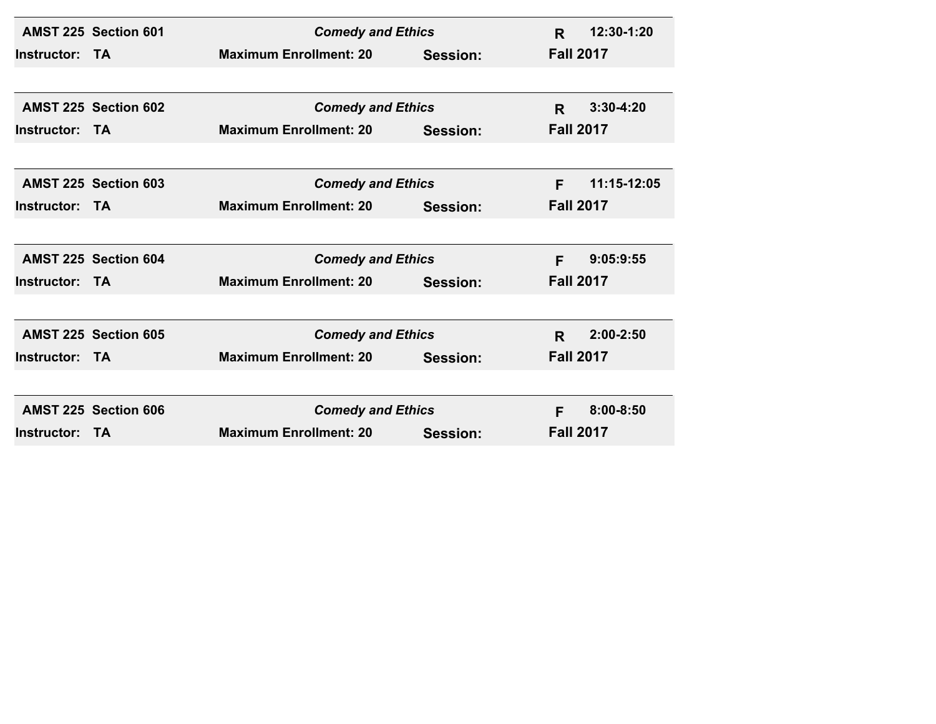|                       | <b>AMST 225 Section 601</b> | <b>Comedy and Ethics</b>      |                 | R.               | 12:30-1:20    |
|-----------------------|-----------------------------|-------------------------------|-----------------|------------------|---------------|
| Instructor:           | <b>TA</b>                   | <b>Maximum Enrollment: 20</b> | Session:        | <b>Fall 2017</b> |               |
|                       |                             |                               |                 |                  |               |
|                       | AMST 225 Section 602        | <b>Comedy and Ethics</b>      |                 | R.               | $3:30-4:20$   |
| Instructor:           | TA.                         | <b>Maximum Enrollment: 20</b> | <b>Session:</b> | <b>Fall 2017</b> |               |
|                       |                             |                               |                 |                  |               |
|                       | AMST 225 Section 603        | <b>Comedy and Ethics</b>      |                 | F.               | 11:15-12:05   |
| <b>Instructor: TA</b> |                             | <b>Maximum Enrollment: 20</b> | Session:        | <b>Fall 2017</b> |               |
|                       |                             |                               |                 |                  |               |
|                       | AMST 225 Section 604        | <b>Comedy and Ethics</b>      |                 | F.               | 9:05:9:55     |
| <b>Instructor: TA</b> |                             | <b>Maximum Enrollment: 20</b> | Session:        | <b>Fall 2017</b> |               |
|                       |                             |                               |                 |                  |               |
|                       | AMST 225 Section 605        | <b>Comedy and Ethics</b>      |                 | R.               | $2:00 - 2:50$ |
| Instructor:           | - TA                        | <b>Maximum Enrollment: 20</b> | Session:        | <b>Fall 2017</b> |               |
|                       |                             |                               |                 |                  |               |
|                       | <b>AMST 225 Section 606</b> | <b>Comedy and Ethics</b>      |                 | F.               | $8:00 - 8:50$ |
| <b>Instructor: TA</b> |                             | <b>Maximum Enrollment: 20</b> | Session:        | <b>Fall 2017</b> |               |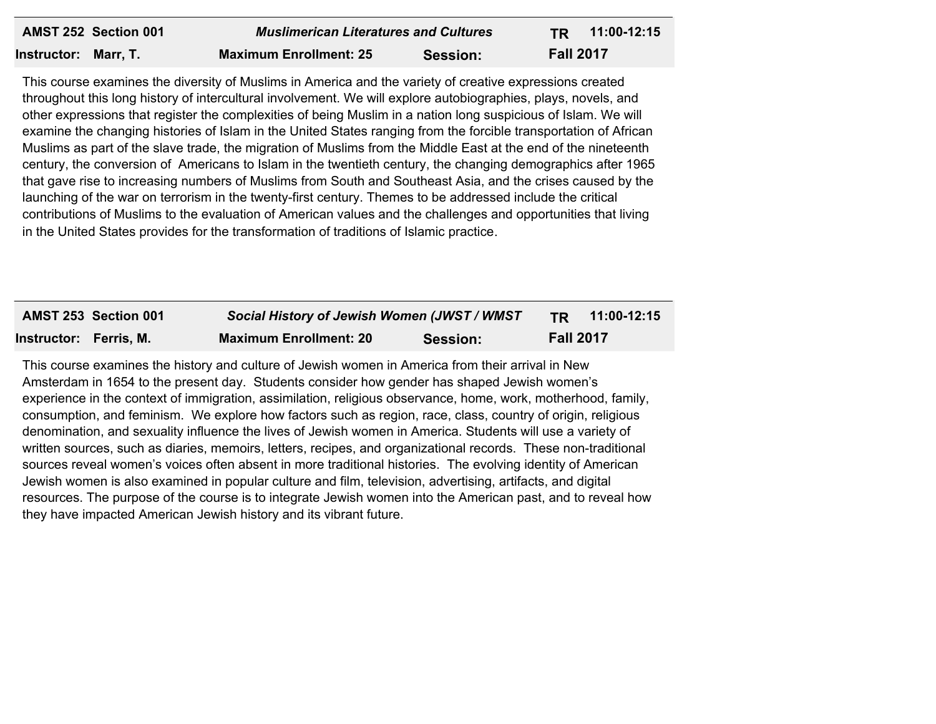|                      | AMST 252 Section 001 | <b>Muslimerican Literatures and Cultures</b> |                 | <b>TR</b>        | 11:00-12:15 |
|----------------------|----------------------|----------------------------------------------|-----------------|------------------|-------------|
| Instructor: Marr, T. |                      | <b>Maximum Enrollment: 25</b>                | <b>Session:</b> | <b>Fall 2017</b> |             |

This course examines the diversity of Muslims in America and the variety of creative expressions created throughout this long history of intercultural involvement. We will explore autobiographies, plays, novels, and other expressions that register the complexities of being Muslim in a nation long suspicious of Islam. We will examine the changing histories of Islam in the United States ranging from the forcible transportation of African Muslims as part of the slave trade, the migration of Muslims from the Middle East at the end of the nineteenth century, the conversion of Americans to Islam in the twentieth century, the changing demographics after 1965 that gave rise to increasing numbers of Muslims from South and Southeast Asia, and the crises caused by the launching of the war on terrorism in the twenty-first century. Themes to be addressed include the critical contributions of Muslims to the evaluation of American values and the challenges and opportunities that living in the United States provides for the transformation of traditions of Islamic practice.

|                               | AMST 253 Section 001 | Social History of Jewish Women (JWST / WMST |                 | <b>TR</b>        | 11:00-12:15 |
|-------------------------------|----------------------|---------------------------------------------|-----------------|------------------|-------------|
| <b>Instructor: Ferris, M.</b> |                      | <b>Maximum Enrollment: 20</b>               | <b>Session:</b> | <b>Fall 2017</b> |             |

This course examines the history and culture of Jewish women in America from their arrival in New Amsterdam in 1654 to the present day. Students consider how gender has shaped Jewish women's experience in the context of immigration, assimilation, religious observance, home, work, motherhood, family, consumption, and feminism. We explore how factors such as region, race, class, country of origin, religious denomination, and sexuality influence the lives of Jewish women in America. Students will use a variety of written sources, such as diaries, memoirs, letters, recipes, and organizational records. These non-traditional sources reveal women's voices often absent in more traditional histories. The evolving identity of American Jewish women is also examined in popular culture and film, television, advertising, artifacts, and digital resources. The purpose of the course is to integrate Jewish women into the American past, and to reveal how they have impacted American Jewish history and its vibrant future.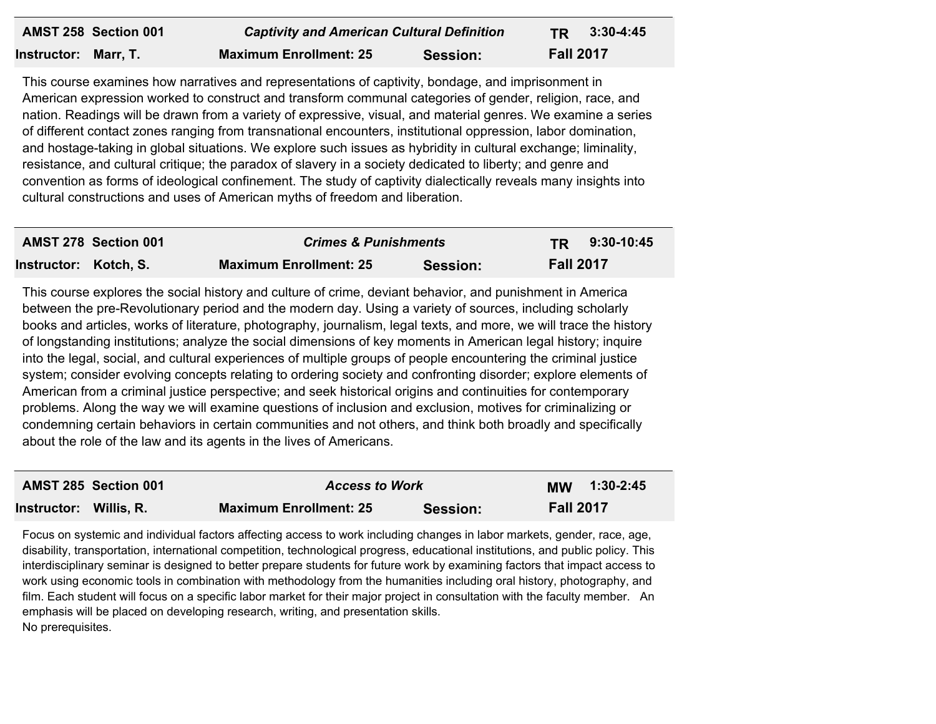| AMST 258 Section 001 | <b>Captivity and American Cultural Definition</b> |          | TR 3:30-4:45     |
|----------------------|---------------------------------------------------|----------|------------------|
| Instructor: Marr, T. | <b>Maximum Enrollment: 25</b>                     | Session: | <b>Fall 2017</b> |

This course examines how narratives and representations of captivity, bondage, and imprisonment in American expression worked to construct and transform communal categories of gender, religion, race, and nation. Readings will be drawn from a variety of expressive, visual, and material genres. We examine a series of different contact zones ranging from transnational encounters, institutional oppression, labor domination, and hostage-taking in global situations. We explore such issues as hybridity in cultural exchange; liminality, resistance, and cultural critique; the paradox of slavery in a society dedicated to liberty; and genre and convention as forms of ideological confinement. The study of captivity dialectically reveals many insights into cultural constructions and uses of American myths of freedom and liberation.

|                       | AMST 278 Section 001 | <b>Crimes &amp; Punishments</b> |                 | TR.              | $9:30-10:45$ |
|-----------------------|----------------------|---------------------------------|-----------------|------------------|--------------|
| Instructor: Kotch, S. |                      | <b>Maximum Enrollment: 25</b>   | <b>Session:</b> | <b>Fall 2017</b> |              |

This course explores the social history and culture of crime, deviant behavior, and punishment in America between the pre-Revolutionary period and the modern day. Using a variety of sources, including scholarly books and articles, works of literature, photography, journalism, legal texts, and more, we will trace the history of longstanding institutions; analyze the social dimensions of key moments in American legal history; inquire into the legal, social, and cultural experiences of multiple groups of people encountering the criminal justice system; consider evolving concepts relating to ordering society and confronting disorder; explore elements of American from a criminal justice perspective; and seek historical origins and continuities for contemporary problems. Along the way we will examine questions of inclusion and exclusion, motives for criminalizing or condemning certain behaviors in certain communities and not others, and think both broadly and specifically about the role of the law and its agents in the lives of Americans.

|                        | AMST 285 Section 001 | <b>Access to Work</b>         |          | <b>MW</b>        | 1:30-2:45 |
|------------------------|----------------------|-------------------------------|----------|------------------|-----------|
| Instructor: Willis, R. |                      | <b>Maximum Enrollment: 25</b> | Session: | <b>Fall 2017</b> |           |

Focus on systemic and individual factors affecting access to work including changes in labor markets, gender, race, age, disability, transportation, international competition, technological progress, educational institutions, and public policy. This interdisciplinary seminar is designed to better prepare students for future work by examining factors that impact access to work using economic tools in combination with methodology from the humanities including oral history, photography, and film. Each student will focus on a specific labor market for their major project in consultation with the faculty member. An emphasis will be placed on developing research, writing, and presentation skills. No prerequisites.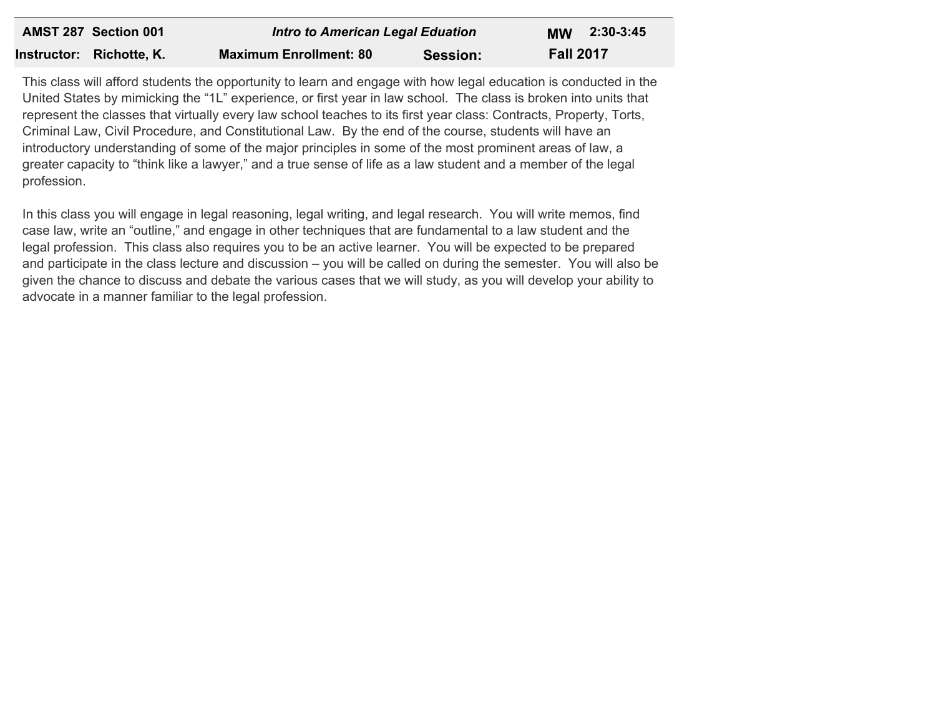| AMST 287 Section 001     | <b>Intro to American Legal Eduation</b> |                 |                  | MW 2:30-3:45 |
|--------------------------|-----------------------------------------|-----------------|------------------|--------------|
| Instructor: Richotte, K. | <b>Maximum Enrollment: 80</b>           | <b>Session:</b> | <b>Fall 2017</b> |              |

This class will afford students the opportunity to learn and engage with how legal education is conducted in the United States by mimicking the "1L" experience, or first year in law school. The class is broken into units that represent the classes that virtually every law school teaches to its first year class: Contracts, Property, Torts, Criminal Law, Civil Procedure, and Constitutional Law. By the end of the course, students will have an introductory understanding of some of the major principles in some of the most prominent areas of law, a greater capacity to "think like a lawyer," and a true sense of life as a law student and a member of the legal profession.

In this class you will engage in legal reasoning, legal writing, and legal research. You will write memos, find case law, write an "outline," and engage in other techniques that are fundamental to a law student and the legal profession. This class also requires you to be an active learner. You will be expected to be prepared and participate in the class lecture and discussion – you will be called on during the semester. You will also be given the chance to discuss and debate the various cases that we will study, as you will develop your ability to advocate in a manner familiar to the legal profession.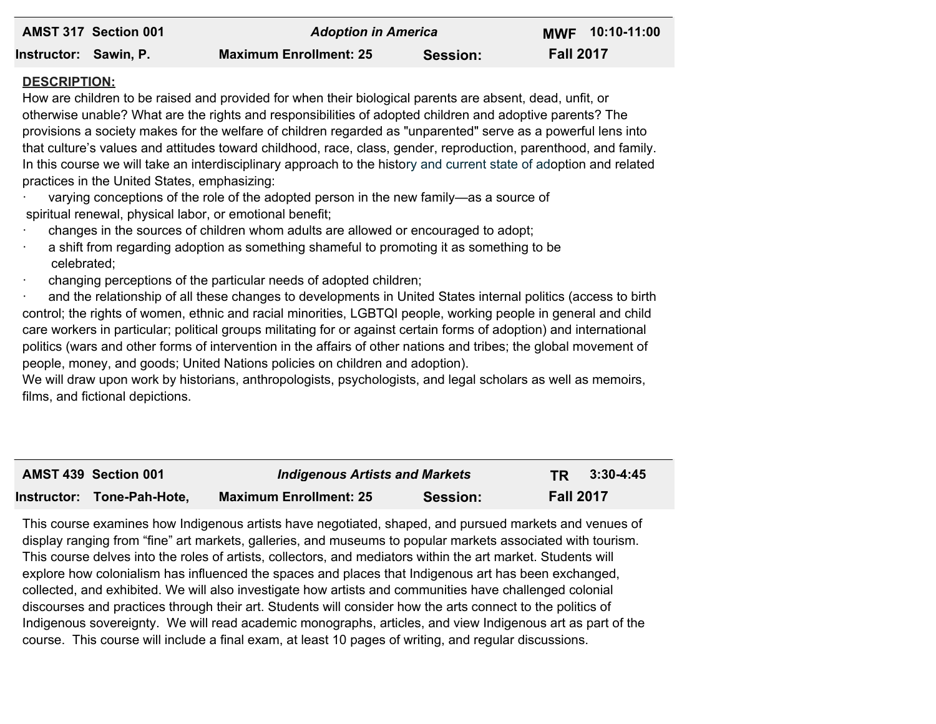|                       | AMST 317 Section 001 | <b>Adoption in America</b>    |                 |                  | MWF 10:10-11:00 |
|-----------------------|----------------------|-------------------------------|-----------------|------------------|-----------------|
| Instructor: Sawin, P. |                      | <b>Maximum Enrollment: 25</b> | <b>Session:</b> | <b>Fall 2017</b> |                 |

## **DESCRIPTION:**

How are children to be raised and provided for when their biological parents are absent, dead, unfit, or otherwise unable? What are the rights and responsibilities of adopted children and adoptive parents? The provisions a society makes for the welfare of children regarded as "unparented" serve as a powerful lens into that culture's values and attitudes toward childhood, race, class, gender, reproduction, parenthood, and family. In this course we will take an interdisciplinary approach to the history and current state of adoption and related practices in the United States, emphasizing:

- · varying conceptions of the role of the adopted person in the new family—as a source of spiritual renewal, physical labor, or emotional benefit;
- · changes in the sources of children whom adults are allowed or encouraged to adopt;
- · a shift from regarding adoption as something shameful to promoting it as something to be celebrated;
- · changing perceptions of the particular needs of adopted children;

and the relationship of all these changes to developments in United States internal politics (access to birth control; the rights of women, ethnic and racial minorities, LGBTQI people, working people in general and child care workers in particular; political groups militating for or against certain forms of adoption) and international politics (wars and other forms of intervention in the affairs of other nations and tribes; the global movement of people, money, and goods; United Nations policies on children and adoption).

We will draw upon work by historians, anthropologists, psychologists, and legal scholars as well as memoirs, films, and fictional depictions.

| AMST 439 Section 001       | <b>Indigenous Artists and Markets</b> |                 |                  | $TR$ 3:30-4:45 |
|----------------------------|---------------------------------------|-----------------|------------------|----------------|
| Instructor: Tone-Pah-Hote, | <b>Maximum Enrollment: 25</b>         | <b>Session:</b> | <b>Fall 2017</b> |                |

This course examines how Indigenous artists have negotiated, shaped, and pursued markets and venues of display ranging from "fine" art markets, galleries, and museums to popular markets associated with tourism. This course delves into the roles of artists, collectors, and mediators within the art market. Students will explore how colonialism has influenced the spaces and places that Indigenous art has been exchanged, collected, and exhibited. We will also investigate how artists and communities have challenged colonial discourses and practices through their art. Students will consider how the arts connect to the politics of Indigenous sovereignty. We will read academic monographs, articles, and view Indigenous art as part of the course. This course will include a final exam, at least 10 pages of writing, and regular discussions.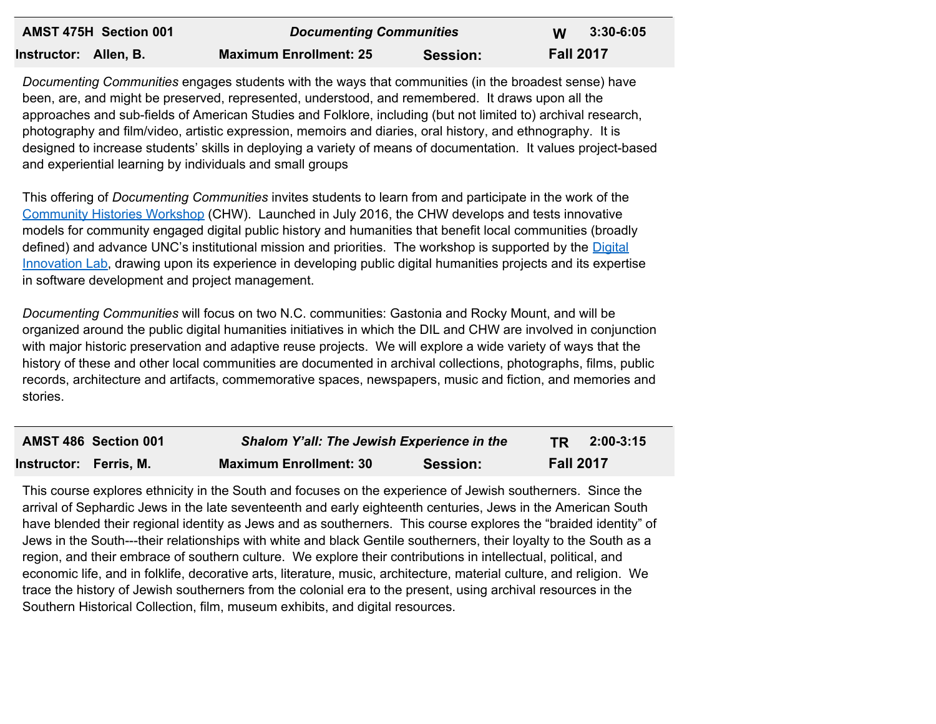| <b>AMST 475H Section 001</b> | <b>Documenting Communities</b> |                 | $3:30 - 6:05$<br>W |
|------------------------------|--------------------------------|-----------------|--------------------|
| Instructor: Allen, B.        | <b>Maximum Enrollment: 25</b>  | <b>Session:</b> | <b>Fall 2017</b>   |

*Documenting Communities* engages students with the ways that communities (in the broadest sense) have been, are, and might be preserved, represented, understood, and remembered. It draws upon all the approaches and sub-fields of American Studies and Folklore, including (but not limited to) archival research, photography and film/video, artistic expression, memoirs and diaries, oral history, and ethnography. It is designed to increase students' skills in deploying a variety of means of documentation. It values project-based and experiential learning by individuals and small groups

This offering of *Documenting Communities* invites students to learn from and participate in the work of the Community Histories Workshop (CHW). Launched in July 2016, the CHW develops and tests innovative models for community engaged digital public history and humanities that benefit local communities (broadly defined) and advance UNC's institutional mission and priorities. The workshop is supported by the Digital Innovation Lab, drawing upon its experience in developing public digital humanities projects and its expertise in software development and project management.

*Documenting Communities* will focus on two N.C. communities: Gastonia and Rocky Mount, and will be organized around the public digital humanities initiatives in which the DIL and CHW are involved in conjunction with major historic preservation and adaptive reuse projects. We will explore a wide variety of ways that the history of these and other local communities are documented in archival collections, photographs, films, public records, architecture and artifacts, commemorative spaces, newspapers, music and fiction, and memories and stories.

| AMST 486 Section 001          | Shalom Y'all: The Jewish Experience in the |                 | $2:00-3:15$<br>TR |
|-------------------------------|--------------------------------------------|-----------------|-------------------|
| <b>Instructor: Ferris, M.</b> | <b>Maximum Enrollment: 30</b>              | <b>Session:</b> | <b>Fall 2017</b>  |

This course explores ethnicity in the South and focuses on the experience of Jewish southerners. Since the arrival of Sephardic Jews in the late seventeenth and early eighteenth centuries, Jews in the American South have blended their regional identity as Jews and as southerners. This course explores the "braided identity" of Jews in the South---their relationships with white and black Gentile southerners, their loyalty to the South as a region, and their embrace of southern culture. We explore their contributions in intellectual, political, and economic life, and in folklife, decorative arts, literature, music, architecture, material culture, and religion. We trace the history of Jewish southerners from the colonial era to the present, using archival resources in the Southern Historical Collection, film, museum exhibits, and digital resources.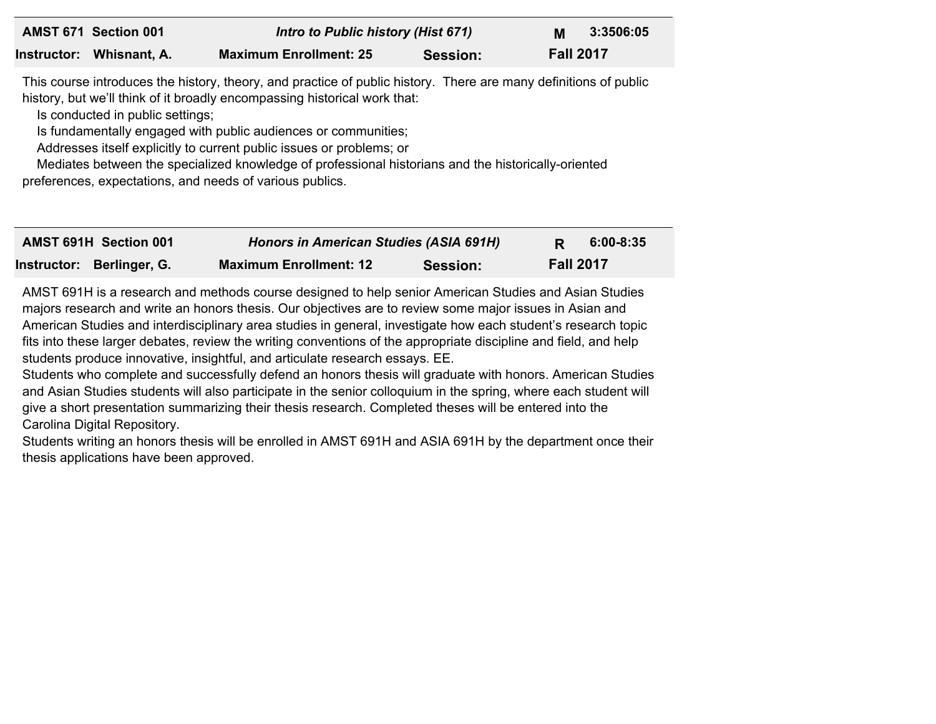| AMST 671 Section 001     | Intro to Public history (Hist 671) |          | M                | 3:3506:05 |
|--------------------------|------------------------------------|----------|------------------|-----------|
| Instructor: Whisnant, A. | <b>Maximum Enrollment: 25</b>      | Session: | <b>Fall 2017</b> |           |

This course introduces the history, theory, and practice of public history. There are many definitions of public history, but we'll think of it broadly encompassing historical work that:

Is conducted in public settings;

Is fundamentally engaged with public audiences or communities;

Addresses itself explicitly to current public issues or problems; or

 Mediates between the specialized knowledge of professional historians and the historically-oriented preferences, expectations, and needs of various publics.

| AMST 691H Section 001     | <b>Honors in American Studies (ASIA 691H)</b> |                 | 6:00-8:35        |
|---------------------------|-----------------------------------------------|-----------------|------------------|
| Instructor: Berlinger, G. | <b>Maximum Enrollment: 12</b>                 | <b>Session:</b> | <b>Fall 2017</b> |

AMST 691H is a research and methods course designed to help senior American Studies and Asian Studies majors research and write an honors thesis. Our objectives are to review some major issues in Asian and American Studies and interdisciplinary area studies in general, investigate how each student's research topic fits into these larger debates, review the writing conventions of the appropriate discipline and field, and help students produce innovative, insightful, and articulate research essays. EE.

Students who complete and successfully defend an honors thesis will graduate with honors. American Studies and Asian Studies students will also participate in the senior colloquium in the spring, where each student will give a short presentation summarizing their thesis research. Completed theses will be entered into the Carolina Digital Repository.

Students writing an honors thesis will be enrolled in AMST 691H and ASIA 691H by the department once their thesis applications have been approved.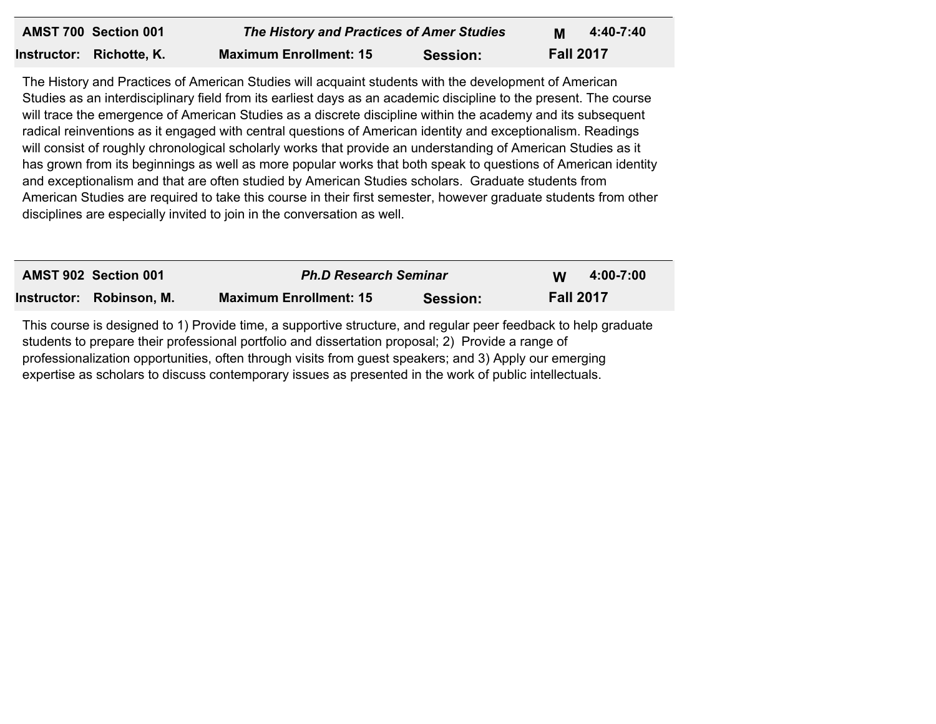| AMST 700 Section 001     | The History and Practices of Amer Studies |          |                  | 4:40-7:40 |
|--------------------------|-------------------------------------------|----------|------------------|-----------|
| Instructor: Richotte, K. | <b>Maximum Enrollment: 15</b>             | Session: | <b>Fall 2017</b> |           |

The History and Practices of American Studies will acquaint students with the development of American Studies as an interdisciplinary field from its earliest days as an academic discipline to the present. The course will trace the emergence of American Studies as a discrete discipline within the academy and its subsequent radical reinventions as it engaged with central questions of American identity and exceptionalism. Readings will consist of roughly chronological scholarly works that provide an understanding of American Studies as it has grown from its beginnings as well as more popular works that both speak to questions of American identity and exceptionalism and that are often studied by American Studies scholars. Graduate students from American Studies are required to take this course in their first semester, however graduate students from other disciplines are especially invited to join in the conversation as well.

| AMST 902 Section 001     | <b>Ph.D Research Seminar</b>  |          | W                | 4:00-7:00 |
|--------------------------|-------------------------------|----------|------------------|-----------|
| Instructor: Robinson, M. | <b>Maximum Enrollment: 15</b> | Session: | <b>Fall 2017</b> |           |

This course is designed to 1) Provide time, a supportive structure, and regular peer feedback to help graduate students to prepare their professional portfolio and dissertation proposal; 2) Provide a range of professionalization opportunities, often through visits from guest speakers; and 3) Apply our emerging expertise as scholars to discuss contemporary issues as presented in the work of public intellectuals.